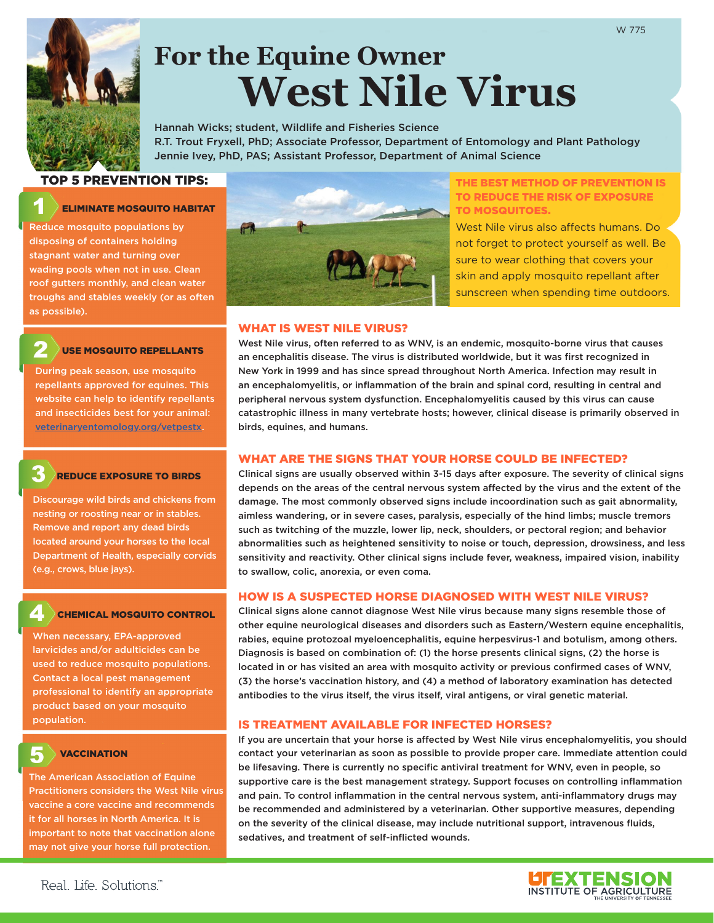

# **For the Equine Owner West Nile Virus**

Hannah Wicks; student, Wildlife and Fisheries Science R.T. Trout Fryxell, PhD; Associate Professor, Department of Entomology and Plant Pathology Jennie Ivey, PhD, PAS; Assistant Professor, Department of Animal Science

## TOP 5 PREVENTION TIPS:

## ELIMINATE MOSQUITO HABITAT

Reduce mosquito populations by disposing of containers holding stagnant water and turning over wading pools when not in use. Clean roof gutters monthly, and clean water troughs and stables weekly (or as often as possible).

## USE MOSQUITO REPELLANTS

During peak season, use mosquito repellants approved for equines. This website can help to identify repellants and insecticides best for your animal: [veterinaryentomology.org/vetpestx](http://veterinaryentomology.org/vetpestx).

## REDUCE EXPOSURE TO BIRDS

Discourage wild birds and chickens from nesting or roosting near or in stables. Remove and report any dead birds located around your horses to the local Department of Health, especially corvids (e.g., crows, blue jays).

## CHEMICAL MOSQUITO CONTROL

When necessary, EPA-approved larvicides and/or adulticides can be used to reduce mosquito populations. Contact a local pest management professional to identify an appropriate product based on your mosquito population.

## **VACCINATION**

The American Association of Equine Practitioners considers the West Nile virus vaccine a core vaccine and recommends it for all horses in North America. It is important to note that vaccination alone may not give your horse full protection.



#### THE BEST METHOD OF PREVENTION IS TO REDUCE THE RISK OF EXPOSURE TO MOSQUITOES.

West Nile virus also affects humans. Do not forget to protect yourself as well. Be sure to wear clothing that covers your skin and apply mosquito repellant after sunscreen when spending time outdoors.

#### WHAT IS WEST NILE VIRUS?

West Nile virus, often referred to as WNV, is an endemic, mosquito-borne virus that causes an encephalitis disease. The virus is distributed worldwide, but it was first recognized in New York in 1999 and has since spread throughout North America. Infection may result in an encephalomyelitis, or inflammation of the brain and spinal cord, resulting in central and peripheral nervous system dysfunction. Encephalomyelitis caused by this virus can cause catastrophic illness in many vertebrate hosts; however, clinical disease is primarily observed in birds, equines, and humans.

## WHAT ARE THE SIGNS THAT YOUR HORSE COULD BE INFECTED?

Clinical signs are usually observed within 3-15 days after exposure. The severity of clinical signs depends on the areas of the central nervous system affected by the virus and the extent of the damage. The most commonly observed signs include incoordination such as gait abnormality, aimless wandering, or in severe cases, paralysis, especially of the hind limbs; muscle tremors such as twitching of the muzzle, lower lip, neck, shoulders, or pectoral region; and behavior abnormalities such as heightened sensitivity to noise or touch, depression, drowsiness, and less sensitivity and reactivity. Other clinical signs include fever, weakness, impaired vision, inability to swallow, colic, anorexia, or even coma.

## HOW IS A SUSPECTED HORSE DIAGNOSED WITH WEST NILE VIRUS?

Clinical signs alone cannot diagnose West Nile virus because many signs resemble those of other equine neurological diseases and disorders such as Eastern/Western equine encephalitis, rabies, equine protozoal myeloencephalitis, equine herpesvirus-1 and botulism, among others. Diagnosis is based on combination of: (1) the horse presents clinical signs, (2) the horse is located in or has visited an area with mosquito activity or previous confirmed cases of WNV, (3) the horse's vaccination history, and (4) a method of laboratory examination has detected antibodies to the virus itself, the virus itself, viral antigens, or viral genetic material.

## IS TREATMENT AVAILABLE FOR INFECTED HORSES?

If you are uncertain that your horse is affected by West Nile virus encephalomyelitis, you should contact your veterinarian as soon as possible to provide proper care. Immediate attention could be lifesaving. There is currently no specific antiviral treatment for WNV, even in people, so supportive care is the best management strategy. Support focuses on controlling inflammation and pain. To control inflammation in the central nervous system, anti-inflammatory drugs may be recommended and administered by a veterinarian. Other supportive measures, depending on the severity of the clinical disease, may include nutritional support, intravenous fluids, sedatives, and treatment of self-inflicted wounds.